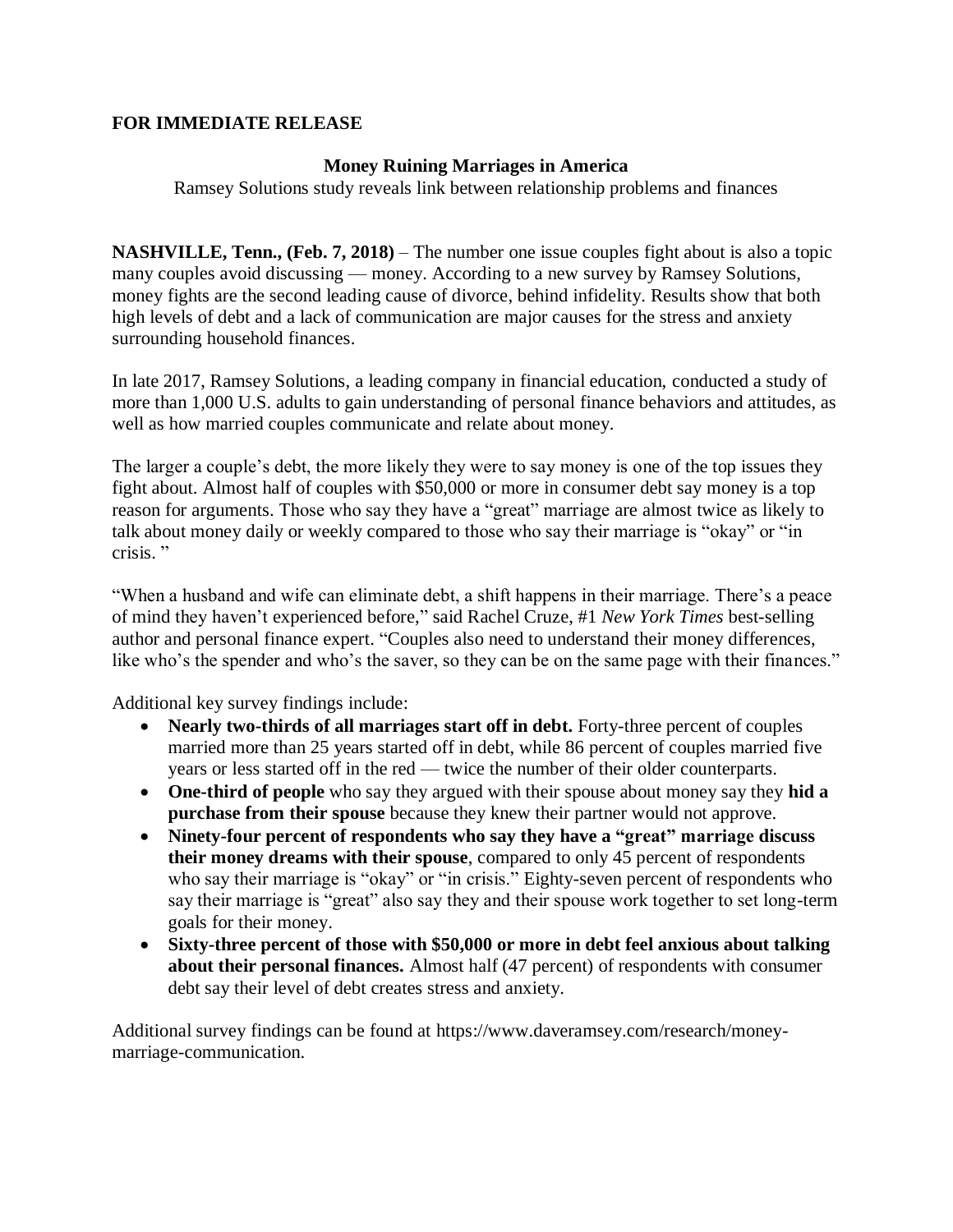# **FOR IMMEDIATE RELEASE**

## **Money Ruining Marriages in America**

Ramsey Solutions study reveals link between relationship problems and finances

**NASHVILLE, Tenn., (Feb. 7, 2018)** – The number one issue couples fight about is also a topic many couples avoid discussing — money. According to a new survey by Ramsey Solutions, money fights are the second leading cause of divorce, behind infidelity. Results show that both high levels of debt and a lack of communication are major causes for the stress and anxiety surrounding household finances.

In late 2017, Ramsey Solutions, a leading company in financial education, conducted a study of more than 1,000 U.S. adults to gain understanding of personal finance behaviors and attitudes, as well as how married couples communicate and relate about money.

The larger a couple's debt, the more likely they were to say money is one of the top issues they fight about. Almost half of couples with \$50,000 or more in consumer debt say money is a top reason for arguments. Those who say they have a "great" marriage are almost twice as likely to talk about money daily or weekly compared to those who say their marriage is "okay" or "in crisis. "

"When a husband and wife can eliminate debt, a shift happens in their marriage. There's a peace of mind they haven't experienced before," said Rachel Cruze, #1 *New York Times* best-selling author and personal finance expert. "Couples also need to understand their money differences, like who's the spender and who's the saver, so they can be on the same page with their finances."

Additional key survey findings include:

- **Nearly two-thirds of all marriages start off in debt.** Forty-three percent of couples married more than 25 years started off in debt, while 86 percent of couples married five years or less started off in the red — twice the number of their older counterparts.
- **One-third of people** who say they argued with their spouse about money say they **hid a purchase from their spouse** because they knew their partner would not approve.
- **Ninety-four percent of respondents who say they have a "great" marriage discuss their money dreams with their spouse**, compared to only 45 percent of respondents who say their marriage is "okay" or "in crisis." Eighty-seven percent of respondents who say their marriage is "great" also say they and their spouse work together to set long-term goals for their money.
- **Sixty-three percent of those with \$50,000 or more in debt feel anxious about talking about their personal finances.** Almost half (47 percent) of respondents with consumer debt say their level of debt creates stress and anxiety.

Additional survey findings can be found at https://www.daveramsey.com/research/moneymarriage-communication.